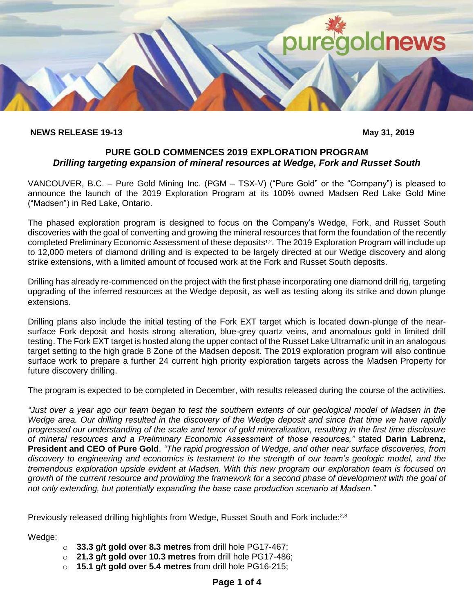

#### **NEWS RELEASE 19-13 May 31, 2019**

## **PURE GOLD COMMENCES 2019 EXPLORATION PROGRAM** *Drilling targeting expansion of mineral resources at Wedge, Fork and Russet South*

VANCOUVER, B.C. – Pure Gold Mining Inc. (PGM – TSX-V) ("Pure Gold" or the "Company") is pleased to announce the launch of the 2019 Exploration Program at its 100% owned Madsen Red Lake Gold Mine ("Madsen") in Red Lake, Ontario.

The phased exploration program is designed to focus on the Company's Wedge, Fork, and Russet South discoveries with the goal of converting and growing the mineral resources that form the foundation of the recently completed Preliminary Economic Assessment of these deposits<sup>1,2</sup>. The 2019 Exploration Program will include up to 12,000 meters of diamond drilling and is expected to be largely directed at our Wedge discovery and along strike extensions, with a limited amount of focused work at the Fork and Russet South deposits.

Drilling has already re-commenced on the project with the first phase incorporating one diamond drill rig, targeting upgrading of the inferred resources at the Wedge deposit, as well as testing along its strike and down plunge extensions.

Drilling plans also include the initial testing of the Fork EXT target which is located down-plunge of the nearsurface Fork deposit and hosts strong alteration, blue-grey quartz veins, and anomalous gold in limited drill testing. The Fork EXT target is hosted along the upper contact of the Russet Lake Ultramafic unit in an analogous target setting to the high grade 8 Zone of the Madsen deposit. The 2019 exploration program will also continue surface work to prepare a further 24 current high priority exploration targets across the Madsen Property for future discovery drilling.

The program is expected to be completed in December, with results released during the course of the activities.

*"Just over a year ago our team began to test the southern extents of our geological model of Madsen in the Wedge area. Our drilling resulted in the discovery of the Wedge deposit and since that time we have rapidly progressed our understanding of the scale and tenor of gold mineralization, resulting in the first time disclosure of mineral resources and a Preliminary Economic Assessment of those resources,"* stated **Darin Labrenz, President and CEO of Pure Gold**. *"The rapid progression of Wedge, and other near surface discoveries, from discovery to engineering and economics is testament to the strength of our team's geologic model, and the tremendous exploration upside evident at Madsen. With this new program our exploration team is focused on growth of the current resource and providing the framework for a second phase of development with the goal of not only extending, but potentially expanding the base case production scenario at Madsen."*

Previously released drilling highlights from Wedge, Russet South and Fork include:<sup>2,3</sup>

Wedge:

- o **33.3 g/t gold over 8.3 metres** from drill hole PG17-467;
- o **21.3 g/t gold over 10.3 metres** from drill hole PG17-486;
- o **15.1 g/t gold over 5.4 metres** from drill hole PG16-215;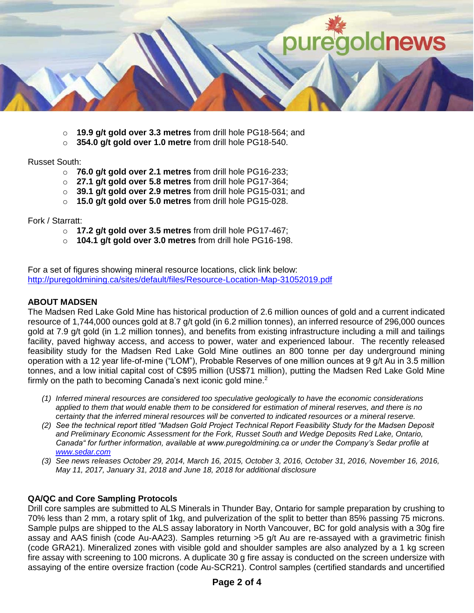

- o **19.9 g/t gold over 3.3 metres** from drill hole PG18-564; and
- o **354.0 g/t gold over 1.0 metre** from drill hole PG18-540.

#### Russet South:

- o **76.0 g/t gold over 2.1 metres** from drill hole PG16-233;
- o **27.1 g/t gold over 5.8 metres** from drill hole PG17-364;
- o **39.1 g/t gold over 2.9 metres** from drill hole PG15-031; and
- o **15.0 g/t gold over 5.0 metres** from drill hole PG15-028.

Fork / Starratt:

- o **17.2 g/t gold over 3.5 metres** from drill hole PG17-467;
- o **104.1 g/t gold over 3.0 metres** from drill hole PG16-198.

For a set of figures showing mineral resource locations, click link below: <http://puregoldmining.ca/sites/default/files/Resource-Location-Map-31052019.pdf>

## **ABOUT MADSEN**

The Madsen Red Lake Gold Mine has historical production of 2.6 million ounces of gold and a current indicated resource of 1,744,000 ounces gold at 8.7 g/t gold (in 6.2 million tonnes), an inferred resource of 296,000 ounces gold at 7.9 g/t gold (in 1.2 million tonnes), and benefits from existing infrastructure including a mill and tailings facility, paved highway access, and access to power, water and experienced labour. The recently released feasibility study for the Madsen Red Lake Gold Mine outlines an 800 tonne per day underground mining operation with a 12 year life-of-mine ("LOM"), Probable Reserves of one million ounces at 9 g/t Au in 3.5 million tonnes, and a low initial capital cost of C\$95 million (US\$71 million), putting the Madsen Red Lake Gold Mine firmly on the path to becoming Canada's next iconic gold mine.<sup>2</sup>

- *(1) Inferred mineral resources are considered too speculative geologically to have the economic considerations applied to them that would enable them to be considered for estimation of mineral reserves, and there is no certainty that the inferred mineral resources will be converted to indicated resources or a mineral reserve.*
- *(2) See the technical report titled "Madsen Gold Project Technical Report Feasibility Study for the Madsen Deposit and Preliminary Economic Assessment for the Fork, Russet South and Wedge Deposits Red Lake, Ontario, Canada" for further information, available at www.puregoldmining.ca or under the Company's Sedar profile at [www.sedar.com](http://www.sedar.com/)*
- *(3) See news releases October 29, 2014, March 16, 2015, October 3, 2016, October 31, 2016, November 16, 2016, May 11, 2017, January 31, 2018 and June 18, 2018 for additional disclosure*

## **QA/QC and Core Sampling Protocols**

Drill core samples are submitted to ALS Minerals in Thunder Bay, Ontario for sample preparation by crushing to 70% less than 2 mm, a rotary split of 1kg, and pulverization of the split to better than 85% passing 75 microns. Sample pulps are shipped to the ALS assay laboratory in North Vancouver, BC for gold analysis with a 30g fire assay and AAS finish (code Au-AA23). Samples returning >5 g/t Au are re-assayed with a gravimetric finish (code GRA21). Mineralized zones with visible gold and shoulder samples are also analyzed by a 1 kg screen fire assay with screening to 100 microns. A duplicate 30 g fire assay is conducted on the screen undersize with assaying of the entire oversize fraction (code Au-SCR21). Control samples (certified standards and uncertified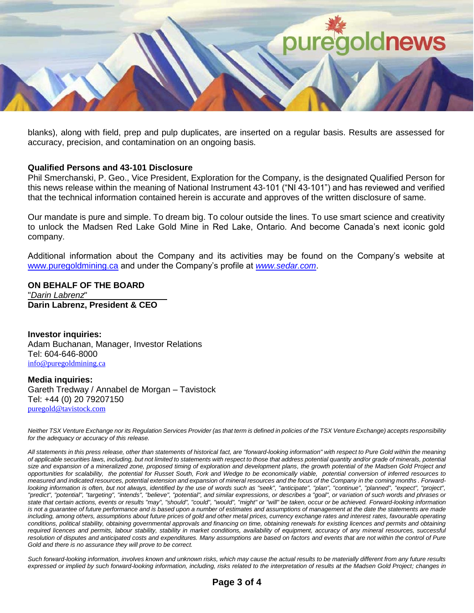

blanks), along with field, prep and pulp duplicates, are inserted on a regular basis. Results are assessed for accuracy, precision, and contamination on an ongoing basis.

#### **Qualified Persons and 43-101 Disclosure**

Phil Smerchanski, P. Geo., Vice President, Exploration for the Company, is the designated Qualified Person for this news release within the meaning of National Instrument 43-101 ("NI 43-101") and has reviewed and verified that the technical information contained herein is accurate and approves of the written disclosure of same.

Our mandate is pure and simple. To dream big. To colour outside the lines. To use smart science and creativity to unlock the Madsen Red Lake Gold Mine in Red Lake, Ontario. And become Canada's next iconic gold company.

Additional information about the Company and its activities may be found on the Company's website at [www.puregoldmining.ca](http://www.puregoldmining.ca/) and under the Company's profile at *[www.sedar.com](http://www.sedar.com/)*.

**ON BEHALF OF THE BOARD** "*Darin Labrenz*" **Darin Labrenz, President & CEO**

**Investor inquiries:**  Adam Buchanan, Manager, Investor Relations Tel: 604-646-8000 [info@puregoldmining.ca](mailto:info@puregoldmining.ca)

**Media inquiries:**  Gareth Tredway / Annabel de Morgan – Tavistock Tel: +44 (0) 20 79207150 [puregold@tavistock.com](mailto:info@puregoldmining.ca)

*Neither TSX Venture Exchange nor its Regulation Services Provider (as that term is defined in policies of the TSX Venture Exchange) accepts responsibility for the adequacy or accuracy of this release.*

*All statements in this press release, other than statements of historical fact, are "forward-looking information" with respect to Pure Gold within the meaning of applicable securities laws, including, but not limited to statements with respect to those that address potential quantity and/or grade of minerals, potential*  size and expansion of a mineralized zone, proposed timing of exploration and development plans, the growth potential of the Madsen Gold Project and *opportunities for scalability, the potential for Russet South, Fork and Wedge to be economically viable, potential conversion of inferred resources to measured and indicated resources, potential extension and expansion of mineral resources and the focus of the Company in the coming months . Forward*looking information is often, but not always, identified by the use of words such as "seek", "anticipate", "plan", "continue", "planned", "expect", "project", *"predict", "potential", "targeting", "intends", "believe", "potential", and similar expressions, or describes a "goal", or variation of such words and phrases or state that certain actions, events or results "may", "should", "could", "would", "might" or "will" be taken, occur or be achieved. Forward-looking information*  is not a guarantee of future performance and is based upon a number of estimates and assumptions of management at the date the statements are made *including, among others, assumptions about future prices of gold and other metal prices, currency exchange rates and interest rates, favourable operating conditions, political stability, obtaining governmental approvals and financing on time, obtaining renewals for existing licences and permits and obtaining required licences and permits, labour stability, stability in market conditions, availability of equipment, accuracy of any mineral resources, successful*  resolution of disputes and anticipated costs and expenditures. Many assumptions are based on factors and events that are not within the control of Pure *Gold and there is no assurance they will prove to be correct.*

*Such forward-looking information, involves known and unknown risks, which may cause the actual results to be materially different from any future results expressed or implied by such forward-looking information, including, risks related to the interpretation of results at the Madsen Gold Project; changes in*